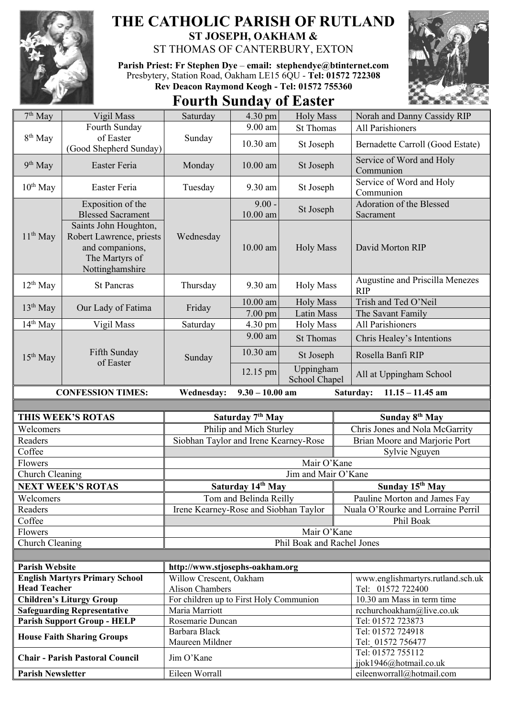

## **THE CATHOLIC PARISH OF RUTLAND ST JOSEPH, OAKHAM &**

ST THOMAS OF CANTERBURY, EXTON

**Parish Priest: Fr Stephen Dye** – **[email: stephendye@btinternet.com](mailto:email:%20%20stephendye@btinternet.com)** Presbytery, Station Road, Oakham LE15 6QU - **Tel: 01572 722308 Rev Deacon Raymond Keogh - Tel: 01572 755360**

## **Fourth Sunday of Easter**



| 7 <sup>th</sup> May      | Vigil Mass                                                                                                                                                 | Saturday                                            | 4.30 pm                      | <b>Holy Mass</b>           | Norah and Danny Cassidy RIP                         |
|--------------------------|------------------------------------------------------------------------------------------------------------------------------------------------------------|-----------------------------------------------------|------------------------------|----------------------------|-----------------------------------------------------|
| 8 <sup>th</sup> May      | Fourth Sunday                                                                                                                                              | Sunday                                              | 9.00 am                      | <b>St Thomas</b>           | All Parishioners                                    |
|                          | of Easter<br>(Good Shepherd Sunday)                                                                                                                        |                                                     | 10.30 am                     | St Joseph                  | Bernadette Carroll (Good Estate)                    |
| $9th$ May                | Easter Feria                                                                                                                                               | Monday                                              | $10.00$ am                   | St Joseph                  | Service of Word and Holy<br>Communion               |
| $10^{th}$ May            | Easter Feria                                                                                                                                               | Tuesday                                             | 9.30 am                      | St Joseph                  | Service of Word and Holy<br>Communion               |
| $11th$ May               | Exposition of the<br><b>Blessed Sacrament</b><br>Saints John Houghton,<br>Robert Lawrence, priests<br>and companions,<br>The Martyrs of<br>Nottinghamshire | Wednesday                                           | $9.00 -$<br>10.00 am         | St Joseph                  | Adoration of the Blessed<br>Sacrament               |
|                          |                                                                                                                                                            |                                                     | 10.00 am                     | <b>Holy Mass</b>           | David Morton RIP                                    |
| $12^{th}$ May            | <b>St Pancras</b>                                                                                                                                          | Thursday                                            | 9.30 am                      | <b>Holy Mass</b>           | Augustine and Priscilla Menezes<br><b>RIP</b>       |
| $13th$ May               | Our Lady of Fatima                                                                                                                                         | Friday                                              | $10.00$ am                   | <b>Holy Mass</b>           | Trish and Ted O'Neil                                |
|                          |                                                                                                                                                            |                                                     | 7.00 pm                      | <b>Latin Mass</b>          | The Savant Family                                   |
| 14 <sup>th</sup> May     | Vigil Mass                                                                                                                                                 | Saturday                                            | 4.30 pm                      | <b>Holy Mass</b>           | <b>All Parishioners</b>                             |
| 15 <sup>th</sup> May     | Fifth Sunday<br>of Easter                                                                                                                                  | Sunday                                              | 9.00 am                      | <b>St Thomas</b>           | Chris Healey's Intentions                           |
|                          |                                                                                                                                                            |                                                     | 10.30 am                     | St Joseph                  | Rosella Banfi RIP                                   |
|                          |                                                                                                                                                            |                                                     | 12.15 pm                     | Uppingham<br>School Chapel | All at Uppingham School                             |
|                          |                                                                                                                                                            | $9.30 - 10.00$ am<br><b>Wednesday:</b><br>Saturday: |                              |                            |                                                     |
|                          | <b>CONFESSION TIMES:</b>                                                                                                                                   |                                                     |                              |                            | $11.15 - 11.45$ am                                  |
|                          |                                                                                                                                                            |                                                     |                              |                            |                                                     |
|                          | THIS WEEK'S ROTAS                                                                                                                                          |                                                     | Saturday 7 <sup>th</sup> May |                            | Sunday 8 <sup>th</sup> May                          |
| Welcomers                |                                                                                                                                                            |                                                     | Philip and Mich Sturley      |                            | Chris Jones and Nola McGarrity                      |
| Readers                  |                                                                                                                                                            | Siobhan Taylor and Irene Kearney-Rose               |                              |                            | Brian Moore and Marjorie Port                       |
| Coffee                   |                                                                                                                                                            |                                                     |                              |                            | Sylvie Nguyen                                       |
| Flowers                  |                                                                                                                                                            |                                                     |                              | Mair O'Kane                |                                                     |
| Church Cleaning          |                                                                                                                                                            |                                                     |                              | Jim and Mair O'Kane        |                                                     |
|                          | <b>NEXT WEEK'S ROTAS</b>                                                                                                                                   |                                                     | Saturday 14th May            |                            | Sunday 15 <sup>th</sup> May                         |
| Welcomers                |                                                                                                                                                            |                                                     | Tom and Belinda Reilly       |                            | Pauline Morton and James Fay                        |
| Readers                  |                                                                                                                                                            | Irene Kearney-Rose and Siobhan Taylor               |                              |                            | Nuala O'Rourke and Lorraine Perril                  |
| Coffee                   |                                                                                                                                                            |                                                     |                              |                            | Phil Boak                                           |
| Flowers                  |                                                                                                                                                            |                                                     |                              | Mair O'Kane                |                                                     |
| Church Cleaning          |                                                                                                                                                            |                                                     |                              | Phil Boak and Rachel Jones |                                                     |
|                          |                                                                                                                                                            |                                                     |                              |                            |                                                     |
| <b>Parish Website</b>    |                                                                                                                                                            | http://www.stjosephs-oakham.org                     |                              |                            |                                                     |
|                          | <b>English Martyrs Primary School</b>                                                                                                                      | Willow Crescent, Oakham                             |                              |                            | www.englishmartyrs.rutland.sch.uk                   |
| <b>Head Teacher</b>      |                                                                                                                                                            | <b>Alison Chambers</b>                              |                              |                            | Tel: 01572 722400                                   |
|                          | <b>Children's Liturgy Group</b>                                                                                                                            | For children up to First Holy Communion             |                              |                            | 10.30 am Mass in term time                          |
|                          | <b>Safeguarding Representative</b>                                                                                                                         | Maria Marriott                                      |                              |                            | rcchurchoakham@live.co.uk                           |
|                          | <b>Parish Support Group - HELP</b>                                                                                                                         | Rosemarie Duncan                                    |                              |                            | Tel: 01572 723873                                   |
|                          | <b>House Faith Sharing Groups</b>                                                                                                                          | Barbara Black                                       |                              |                            | Tel: 01572 724918                                   |
|                          | <b>Chair - Parish Pastoral Council</b>                                                                                                                     | Maureen Mildner<br>Jim O'Kane                       |                              |                            | Tel: 01572 756477<br>Tel: 01572 755112              |
| <b>Parish Newsletter</b> |                                                                                                                                                            | Eileen Worrall                                      |                              |                            | jjok1946@hotmail.co.uk<br>eileenworrall@hotmail.com |